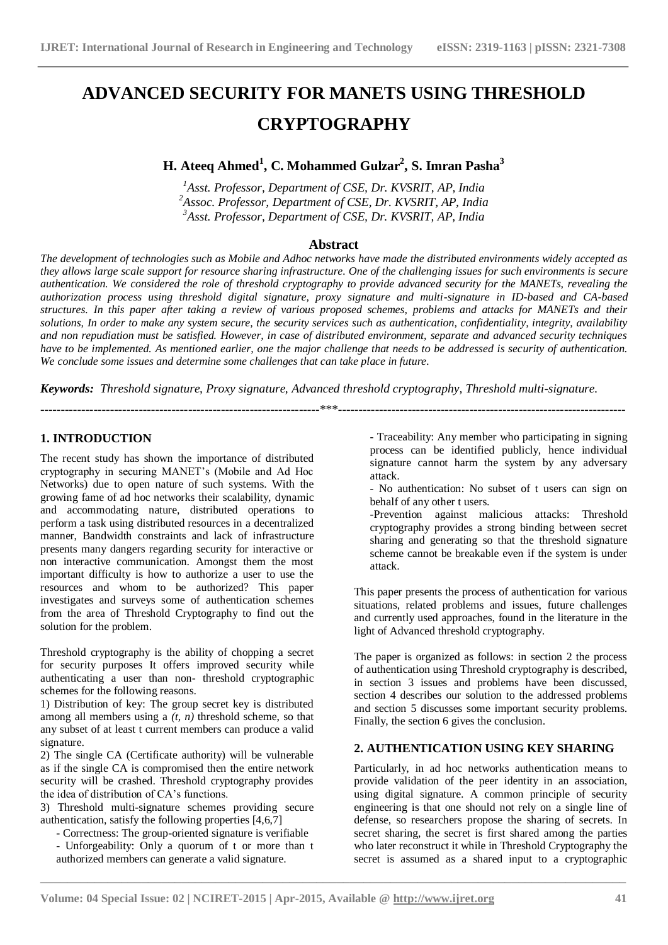# **ADVANCED SECURITY FOR MANETS USING THRESHOLD CRYPTOGRAPHY**

# **H. Ateeq Ahmed<sup>1</sup> , C. Mohammed Gulzar<sup>2</sup> , S. Imran Pasha<sup>3</sup>**

*<sup>1</sup>Asst. Professor, Department of CSE, Dr. KVSRIT, AP, India <sup>2</sup>Assoc. Professor, Department of CSE, Dr. KVSRIT, AP, India <sup>3</sup>Asst. Professor, Department of CSE, Dr. KVSRIT, AP, India*

#### **Abstract**

*The development of technologies such as Mobile and Adhoc networks have made the distributed environments widely accepted as they allows large scale support for resource sharing infrastructure. One of the challenging issues for such environments is secure authentication. We considered the role of threshold cryptography to provide advanced security for the MANETs, revealing the authorization process using threshold digital signature, proxy signature and multi-signature in ID-based and CA-based structures. In this paper after taking a review of various proposed schemes, problems and attacks for MANETs and their solutions, In order to make any system secure, the security services such as authentication, confidentiality, integrity, availability and non repudiation must be satisfied. However, in case of distributed environment, separate and advanced security techniques have to be implemented. As mentioned earlier, one the major challenge that needs to be addressed is security of authentication. We conclude some issues and determine some challenges that can take place in future.*

*Keywords: Threshold signature, Proxy signature, Advanced threshold cryptography, Threshold multi-signature.*

--------------------------------------------------------------------\*\*\*----------------------------------------------------------------------

#### **1. INTRODUCTION**

The recent study has shown the importance of distributed cryptography in securing MANET's (Mobile and Ad Hoc Networks) due to open nature of such systems. With the growing fame of ad hoc networks their scalability, dynamic and accommodating nature, distributed operations to perform a task using distributed resources in a decentralized manner, Bandwidth constraints and lack of infrastructure presents many dangers regarding security for interactive or non interactive communication. Amongst them the most important difficulty is how to authorize a user to use the resources and whom to be authorized? This paper investigates and surveys some of authentication schemes from the area of Threshold Cryptography to find out the solution for the problem.

Threshold cryptography is the ability of chopping a secret for security purposes It offers improved security while authenticating a user than non- threshold cryptographic schemes for the following reasons.

1) Distribution of key: The group secret key is distributed among all members using a *(t, n)* threshold scheme, so that any subset of at least t current members can produce a valid signature.

2) The single CA (Certificate authority) will be vulnerable as if the single CA is compromised then the entire network security will be crashed. Threshold cryptography provides the idea of distribution of CA's functions.

3) Threshold multi-signature schemes providing secure authentication, satisfy the following properties [4,6,7]

- Correctness: The group-oriented signature is verifiable

- Unforgeability: Only a quorum of t or more than t authorized members can generate a valid signature.

- Traceability: Any member who participating in signing process can be identified publicly, hence individual signature cannot harm the system by any adversary attack.

- No authentication: No subset of t users can sign on behalf of any other t users.

-Prevention against malicious attacks: Threshold cryptography provides a strong binding between secret sharing and generating so that the threshold signature scheme cannot be breakable even if the system is under attack.

This paper presents the process of authentication for various situations, related problems and issues, future challenges and currently used approaches, found in the literature in the light of Advanced threshold cryptography.

The paper is organized as follows: in section 2 the process of authentication using Threshold cryptography is described, in section 3 issues and problems have been discussed, section 4 describes our solution to the addressed problems and section 5 discusses some important security problems. Finally, the section 6 gives the conclusion.

### **2. AUTHENTICATION USING KEY SHARING**

Particularly, in ad hoc networks authentication means to provide validation of the peer identity in an association, using digital signature. A common principle of security engineering is that one should not rely on a single line of defense, so researchers propose the sharing of secrets. In secret sharing, the secret is first shared among the parties who later reconstruct it while in Threshold Cryptography the secret is assumed as a shared input to a cryptographic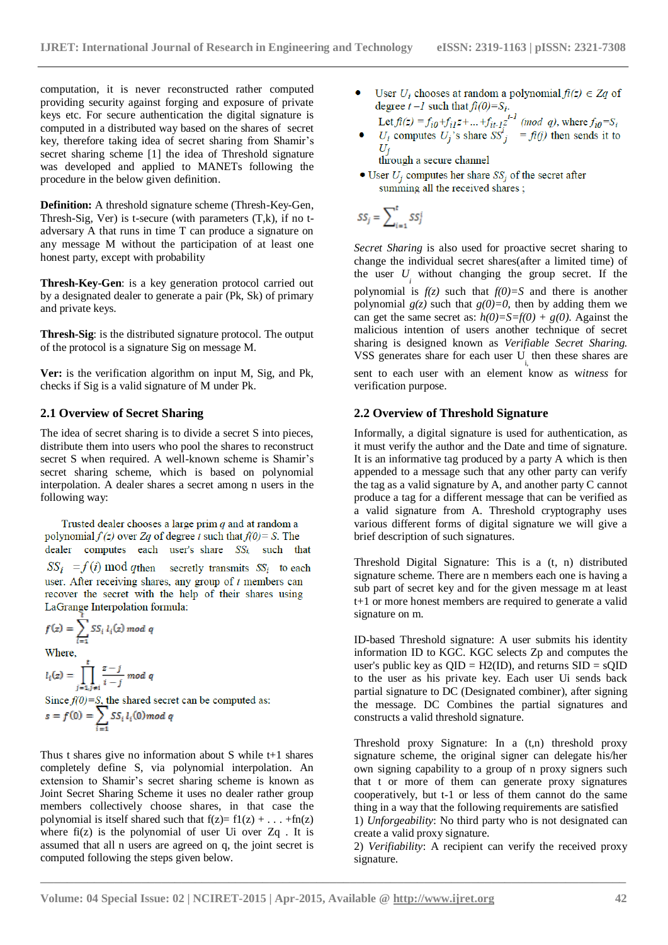computation, it is never reconstructed rather computed providing security against forging and exposure of private keys etc. For secure authentication the digital signature is computed in a distributed way based on the shares of secret key, therefore taking idea of secret sharing from Shamir's secret sharing scheme [1] the idea of Threshold signature was developed and applied to MANETs following the procedure in the below given definition.

**Definition:** A threshold signature scheme (Thresh-Key-Gen, Thresh-Sig, Ver) is t-secure (with parameters  $(T, k)$ , if no tadversary A that runs in time T can produce a signature on any message M without the participation of at least one honest party, except with probability

**Thresh-Key-Gen**: is a key generation protocol carried out by a designated dealer to generate a pair (Pk, Sk) of primary and private keys.

**Thresh-Sig**: is the distributed signature protocol. The output of the protocol is a signature Sig on message M.

**Ver:** is the verification algorithm on input M, Sig, and Pk, checks if Sig is a valid signature of M under Pk.

#### **2.1 Overview of Secret Sharing**

The idea of secret sharing is to divide a secret S into pieces, distribute them into users who pool the shares to reconstruct secret S when required. A well-known scheme is Shamir's secret sharing scheme, which is based on polynomial interpolation. A dealer shares a secret among n users in the following way:

Trusted dealer chooses a large prim  $q$  and at random a polynomial  $f(z)$  over Za of degree t such that  $f(0) = S$ . The dealer computes each user's share  $SS_i$  such that  $SS_i$  =  $f(i)$  mod q then secretly transmits  $SS_i$  to each user. After receiving shares, any group of  $t$  members can recover the secret with the help of their shares using LaGrange Interpolation formula:

 $f(z) = \sum_{i=1}^{k} SS_i l_i(z) \text{ mod } q$ <br>Where, where,<br> $l_i(z) = \prod_{j=1, j \neq i}^{t} \frac{z - j}{i - j} \mod q$ Since  $f(0)=S$ , the shared secret can be computed as:<br> $s = f(0) = \sum_{i=1}^{S} SS_i l_i(0) \mod q$ 

computed following the steps given below.

Thus t shares give no information about S while t+1 shares completely define S, via polynomial interpolation. An extension to Shamir's secret sharing scheme is known as Joint Secret Sharing Scheme it uses no dealer rather group members collectively choose shares, in that case the polynomial is itself shared such that  $f(z) = f1(z) + ... +f n(z)$ where  $f_1(z)$  is the polynomial of user Ui over  $Zq$ . It is

assumed that all n users are agreed on q, the joint secret is

User  $U_i$  chooses at random a polynomial  $f_i(z) \in Z_q$  of • User  $U_i$  chooses at random a polynomial  $f_i(z) \in Zq$  of<br>degree  $t - l$  such that  $f_i(0) = S_i$ .<br>Let  $f_i(z) = f_{i0} + f_{i1}z + ... + f_{it-1}z^{t-1}$  (mod q), where  $f_{i0} = S_i$ <br> $U_i$  computes  $U_j$ 's share  $SS_j^i = f_i(j)$  then sends it to<br> $U_j$ 

through a secure channel

• User  $U_j$  computes her share  $SS_j$  of the secret after summing all the received shares;

$$
SS_j = \sum_{i=1}^t SS_j^i
$$

*Secret Sharing* is also used for proactive secret sharing to change the individual secret shares(after a limited time) of the user  $U_i$  without changing the group secret. If the polynomial is  $f(z)$  such that  $f(0)=S$  and there is another polynomial  $g(z)$  such that  $g(0)=0$ , then by adding them we can get the same secret as:  $h(0)=S=f(0) + g(0)$ . Against the malicious intention of users another technique of secret sharing is designed known as *Verifiable Secret Sharing.*  VSS generates share for each user  $U_{i}$ , then these shares are sent to each user with an element know as w*itness* for verification purpose.

#### **2.2 Overview of Threshold Signature**

Informally, a digital signature is used for authentication, as it must verify the author and the Date and time of signature. It is an informative tag produced by a party A which is then appended to a message such that any other party can verify the tag as a valid signature by A, and another party C cannot produce a tag for a different message that can be verified as a valid signature from A. Threshold cryptography uses various different forms of digital signature we will give a brief description of such signatures.

Threshold Digital Signature: This is a (t, n) distributed signature scheme. There are n members each one is having a sub part of secret key and for the given message m at least t+1 or more honest members are required to generate a valid signature on m.

ID-based Threshold signature: A user submits his identity information ID to KGC. KGC selects Zp and computes the user's public key as  $QID = H2(ID)$ , and returns  $SID = sQID$ to the user as his private key. Each user Ui sends back partial signature to DC (Designated combiner), after signing the message. DC Combines the partial signatures and constructs a valid threshold signature.

Threshold proxy Signature: In a (t,n) threshold proxy signature scheme, the original signer can delegate his/her own signing capability to a group of n proxy signers such that t or more of them can generate proxy signatures cooperatively, but t-1 or less of them cannot do the same thing in a way that the following requirements are satisfied 1) *Unforgeability*: No third party who is not designated can create a valid proxy signature.

2) *Verifiability*: A recipient can verify the received proxy signature.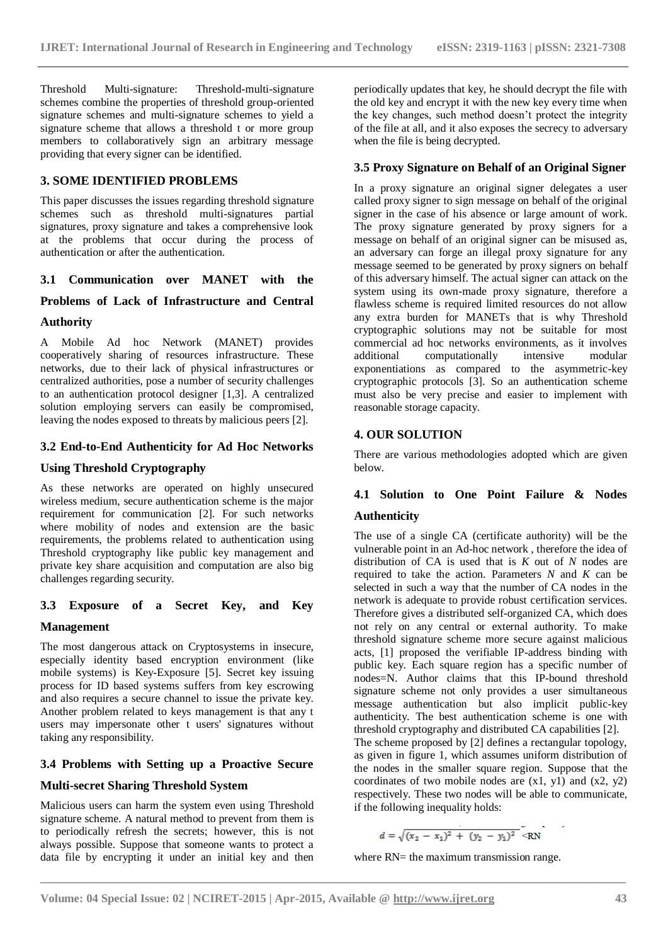Threshold Multi-signature: Threshold-multi-signature schemes combine the properties of threshold group-oriented signature schemes and multi-signature schemes to yield a signature scheme that allows a threshold t or more group members to collaboratively sign an arbitrary message providing that every signer can be identified.

#### **3. SOME IDENTIFIED PROBLEMS**

This paper discusses the issues regarding threshold signature schemes such as threshold multi-signatures partial signatures, proxy signature and takes a comprehensive look at the problems that occur during the process of authentication or after the authentication.

#### **3.1 Communication over MANET with the**

### **Problems of Lack of Infrastructure and Central**

#### **Authority**

A Mobile Ad hoc Network (MANET) provides cooperatively sharing of resources infrastructure. These networks, due to their lack of physical infrastructures or centralized authorities, pose a number of security challenges to an authentication protocol designer [1,3]. A centralized solution employing servers can easily be compromised, leaving the nodes exposed to threats by malicious peers [2].

#### **3.2 End-to-End Authenticity for Ad Hoc Networks**

#### **Using Threshold Cryptography**

As these networks are operated on highly unsecured wireless medium, secure authentication scheme is the major requirement for communication [2]. For such networks where mobility of nodes and extension are the basic requirements, the problems related to authentication using Threshold cryptography like public key management and private key share acquisition and computation are also big challenges regarding security.

# **3.3 Exposure of a Secret Key, and Key**

#### **Management**

The most dangerous attack on Cryptosystems in insecure, especially identity based encryption environment (like mobile systems) is Key-Exposure [5]. Secret key issuing process for ID based systems suffers from key escrowing and also requires a secure channel to issue the private key. Another problem related to keys management is that any t users may impersonate other t users' signatures without taking any responsibility.

#### **3.4 Problems with Setting up a Proactive Secure**

#### **Multi-secret Sharing Threshold System**

Malicious users can harm the system even using Threshold signature scheme. A natural method to prevent from them is to periodically refresh the secrets; however, this is not always possible. Suppose that someone wants to protect a data file by encrypting it under an initial key and then periodically updates that key, he should decrypt the file with the old key and encrypt it with the new key every time when the key changes, such method doesn't protect the integrity of the file at all, and it also exposes the secrecy to adversary when the file is being decrypted.

#### **3.5 Proxy Signature on Behalf of an Original Signer**

In a proxy signature an original signer delegates a user called proxy signer to sign message on behalf of the original signer in the case of his absence or large amount of work. The proxy signature generated by proxy signers for a message on behalf of an original signer can be misused as, an adversary can forge an illegal proxy signature for any message seemed to be generated by proxy signers on behalf of this adversary himself. The actual signer can attack on the system using its own-made proxy signature, therefore a flawless scheme is required limited resources do not allow any extra burden for MANETs that is why Threshold cryptographic solutions may not be suitable for most commercial ad hoc networks environments, as it involves additional computationally intensive modular exponentiations as compared to the asymmetric-key cryptographic protocols [3]. So an authentication scheme must also be very precise and easier to implement with reasonable storage capacity.

#### **4. OUR SOLUTION**

There are various methodologies adopted which are given below.

# **4.1 Solution to One Point Failure & Nodes Authenticity**

The use of a single CA (certificate authority) will be the vulnerable point in an Ad-hoc network , therefore the idea of distribution of CA is used that is *K* out of *N* nodes are required to take the action. Parameters  $N$  and  $K$  can be selected in such a way that the number of CA nodes in the network is adequate to provide robust certification services. Therefore gives a distributed self-organized CA, which does not rely on any central or external authority. To make threshold signature scheme more secure against malicious acts, [1] proposed the verifiable IP-address binding with public key. Each square region has a specific number of nodes=N. Author claims that this IP-bound threshold signature scheme not only provides a user simultaneous message authentication but also implicit public-key authenticity. The best authentication scheme is one with threshold cryptography and distributed CA capabilities [2]. The scheme proposed by [2] defines a rectangular topology, as given in figure 1, which assumes uniform distribution of the nodes in the smaller square region. Suppose that the coordinates of two mobile nodes are  $(x1, y1)$  and  $(x2, y2)$ respectively. These two nodes will be able to communicate,

$$
d = \sqrt{(x_2 - x_1)^2 + (y_2 - y_1)^2} < RN
$$

where RN= the maximum transmission range.

if the following inequality holds: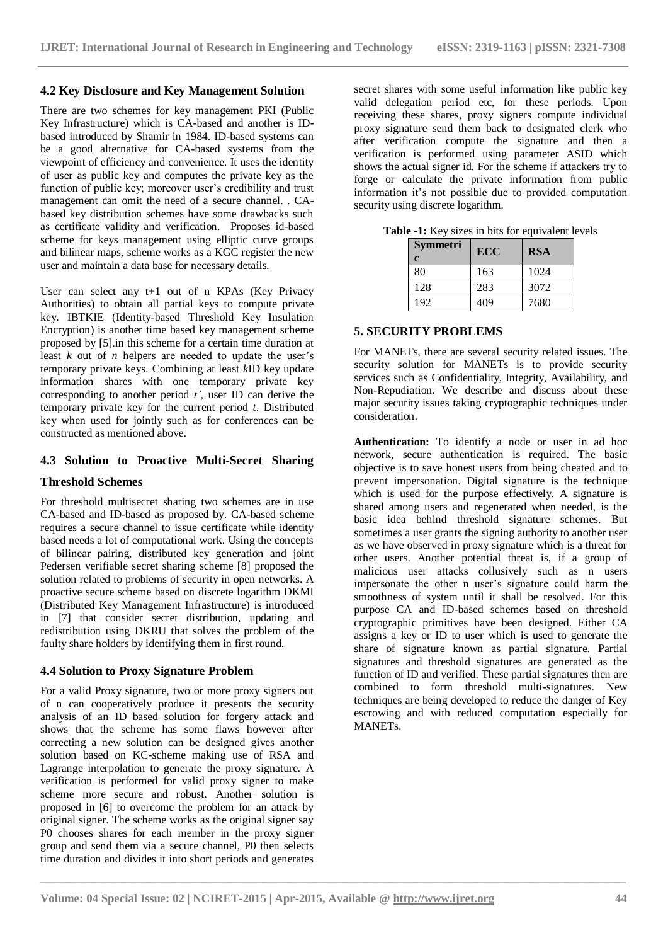#### **4.2 Key Disclosure and Key Management Solution**

There are two schemes for key management PKI (Public Key Infrastructure) which is CA-based and another is IDbased introduced by Shamir in 1984. ID-based systems can be a good alternative for CA-based systems from the viewpoint of efficiency and convenience. It uses the identity of user as public key and computes the private key as the function of public key; moreover user's credibility and trust management can omit the need of a secure channel. . CAbased key distribution schemes have some drawbacks such as certificate validity and verification. Proposes id-based scheme for keys management using elliptic curve groups and bilinear maps, scheme works as a KGC register the new user and maintain a data base for necessary details.

User can select any t+1 out of n KPAs (Key Privacy Authorities) to obtain all partial keys to compute private key. IBTKIE (Identity-based Threshold Key Insulation Encryption) is another time based key management scheme proposed by [5].in this scheme for a certain time duration at least *k* out of *n* helpers are needed to update the user's temporary private keys. Combining at least *k*ID key update information shares with one temporary private key corresponding to another period *t'*, user ID can derive the temporary private key for the current period *t*. Distributed key when used for jointly such as for conferences can be constructed as mentioned above.

# **4.3 Solution to Proactive Multi-Secret Sharing**

#### **Threshold Schemes**

For threshold multisecret sharing two schemes are in use CA-based and ID-based as proposed by. CA-based scheme requires a secure channel to issue certificate while identity based needs a lot of computational work. Using the concepts of bilinear pairing, distributed key generation and joint Pedersen verifiable secret sharing scheme [8] proposed the solution related to problems of security in open networks. A proactive secure scheme based on discrete logarithm DKMI (Distributed Key Management Infrastructure) is introduced in [7] that consider secret distribution, updating and redistribution using DKRU that solves the problem of the faulty share holders by identifying them in first round.

#### **4.4 Solution to Proxy Signature Problem**

For a valid Proxy signature, two or more proxy signers out of n can cooperatively produce it presents the security analysis of an ID based solution for forgery attack and shows that the scheme has some flaws however after correcting a new solution can be designed gives another solution based on KC-scheme making use of RSA and Lagrange interpolation to generate the proxy signature. A verification is performed for valid proxy signer to make scheme more secure and robust. Another solution is proposed in [6] to overcome the problem for an attack by original signer. The scheme works as the original signer say P0 chooses shares for each member in the proxy signer group and send them via a secure channel, P0 then selects time duration and divides it into short periods and generates

secret shares with some useful information like public key valid delegation period etc, for these periods. Upon receiving these shares, proxy signers compute individual proxy signature send them back to designated clerk who after verification compute the signature and then a verification is performed using parameter ASID which shows the actual signer id. For the scheme if attackers try to forge or calculate the private information from public information it's not possible due to provided computation security using discrete logarithm.

| <b>Symmetri</b><br>c | <b>ECC</b> | <b>RSA</b> |
|----------------------|------------|------------|
| 80                   | 163        | 1024       |
| 128                  | 283        | 3072       |
| 192                  | 409        | 7680       |

**Table -1:** Key sizes in bits for equivalent levels

#### **5. SECURITY PROBLEMS**

For MANETs, there are several security related issues. The security solution for MANETs is to provide security services such as Confidentiality, Integrity, Availability, and Non-Repudiation. We describe and discuss about these major security issues taking cryptographic techniques under consideration.

**Authentication:** To identify a node or user in ad hoc network, secure authentication is required. The basic objective is to save honest users from being cheated and to prevent impersonation. Digital signature is the technique which is used for the purpose effectively. A signature is shared among users and regenerated when needed, is the basic idea behind threshold signature schemes. But sometimes a user grants the signing authority to another user as we have observed in proxy signature which is a threat for other users. Another potential threat is, if a group of malicious user attacks collusively such as n users impersonate the other n user's signature could harm the smoothness of system until it shall be resolved. For this purpose CA and ID-based schemes based on threshold cryptographic primitives have been designed. Either CA assigns a key or ID to user which is used to generate the share of signature known as partial signature. Partial signatures and threshold signatures are generated as the function of ID and verified. These partial signatures then are combined to form threshold multi-signatures. New techniques are being developed to reduce the danger of Key escrowing and with reduced computation especially for MANETs.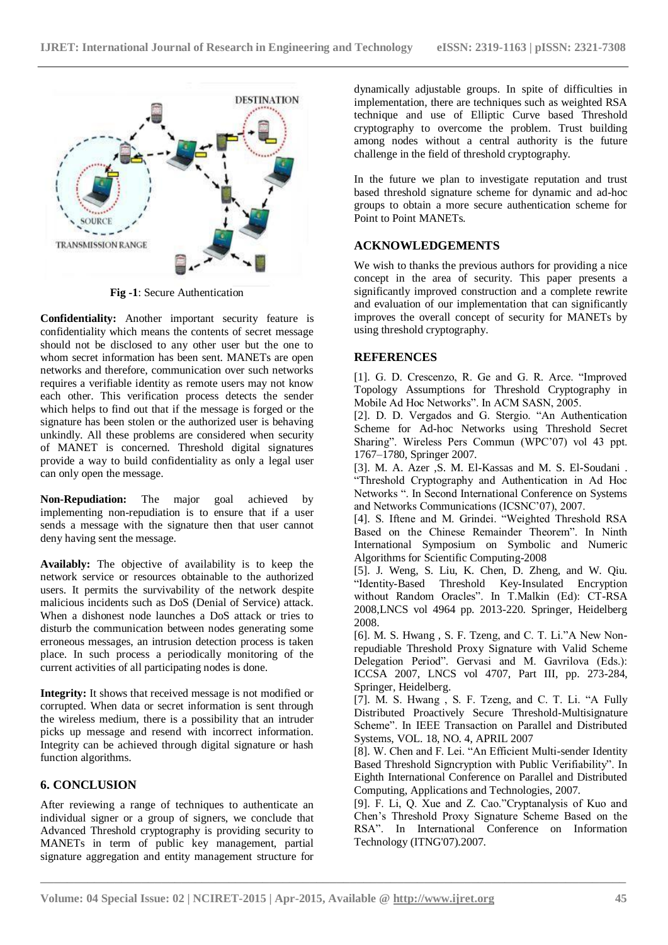

**Fig -1**: Secure Authentication

**Confidentiality:** Another important security feature is confidentiality which means the contents of secret message should not be disclosed to any other user but the one to whom secret information has been sent. MANETs are open networks and therefore, communication over such networks requires a verifiable identity as remote users may not know each other. This verification process detects the sender which helps to find out that if the message is forged or the signature has been stolen or the authorized user is behaving unkindly. All these problems are considered when security of MANET is concerned. Threshold digital signatures provide a way to build confidentiality as only a legal user can only open the message.

**Non-Repudiation:** The major goal achieved by implementing non-repudiation is to ensure that if a user sends a message with the signature then that user cannot deny having sent the message.

**Availably:** The objective of availability is to keep the network service or resources obtainable to the authorized users. It permits the survivability of the network despite malicious incidents such as DoS (Denial of Service) attack. When a dishonest node launches a DoS attack or tries to disturb the communication between nodes generating some erroneous messages, an intrusion detection process is taken place. In such process a periodically monitoring of the current activities of all participating nodes is done.

**Integrity:** It shows that received message is not modified or corrupted. When data or secret information is sent through the wireless medium, there is a possibility that an intruder picks up message and resend with incorrect information. Integrity can be achieved through digital signature or hash function algorithms.

# **6. CONCLUSION**

After reviewing a range of techniques to authenticate an individual signer or a group of signers, we conclude that Advanced Threshold cryptography is providing security to MANETs in term of public key management, partial signature aggregation and entity management structure for

dynamically adjustable groups. In spite of difficulties in implementation, there are techniques such as weighted RSA technique and use of Elliptic Curve based Threshold cryptography to overcome the problem. Trust building among nodes without a central authority is the future challenge in the field of threshold cryptography.

In the future we plan to investigate reputation and trust based threshold signature scheme for dynamic and ad-hoc groups to obtain a more secure authentication scheme for Point to Point MANETs.

# **ACKNOWLEDGEMENTS**

We wish to thanks the previous authors for providing a nice concept in the area of security. This paper presents a significantly improved construction and a complete rewrite and evaluation of our implementation that can significantly improves the overall concept of security for MANETs by using threshold cryptography.

#### **REFERENCES**

[1]. G. D. Crescenzo, R. Ge and G. R. Arce. "Improved Topology Assumptions for Threshold Cryptography in Mobile Ad Hoc Networks". In ACM SASN, 2005.

[2]. D. D. Vergados and G. Stergio. "An Authentication Scheme for Ad-hoc Networks using Threshold Secret Sharing". Wireless Pers Commun (WPC'07) vol 43 ppt. 1767–1780, Springer 2007.

[3]. M. A. Azer ,S. M. El-Kassas and M. S. El-Soudani . "Threshold Cryptography and Authentication in Ad Hoc Networks ". In Second International Conference on Systems and Networks Communications (ICSNC'07), 2007.

[4]. S. Iftene and M. Grindei. "Weighted Threshold RSA Based on the Chinese Remainder Theorem". In Ninth International Symposium on Symbolic and Numeric Algorithms for Scientific Computing-2008

[5]. J. Weng, S. Liu, K. Chen, D. Zheng, and W. Qiu. "Identity-Based Threshold Key-Insulated Encryption without Random Oracles". In T.Malkin (Ed): CT-RSA 2008,LNCS vol 4964 pp. 2013-220. Springer, Heidelberg 2008.

[6]. M. S. Hwang , S. F. Tzeng, and C. T. Li."A New Nonrepudiable Threshold Proxy Signature with Valid Scheme Delegation Period". Gervasi and M. Gavrilova (Eds.): ICCSA 2007, LNCS vol 4707, Part III, pp. 273-284, Springer, Heidelberg.

[7]. M. S. Hwang , S. F. Tzeng, and C. T. Li. "A Fully Distributed Proactively Secure Threshold-Multisignature Scheme". In IEEE Transaction on Parallel and Distributed Systems, VOL. 18, NO. 4, APRIL 2007

[8]. W. Chen and F. Lei. "An Efficient Multi-sender Identity Based Threshold Signcryption with Public Verifiability". In Eighth International Conference on Parallel and Distributed Computing, Applications and Technologies, 2007.

[9]. F. Li, Q. Xue and Z. Cao."Cryptanalysis of Kuo and Chen's Threshold Proxy Signature Scheme Based on the RSA". In International Conference on Information Technology (ITNG'07).2007.